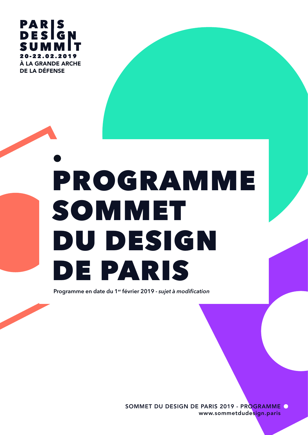

# PROGRAMME SOMMET DU DESIGN DE PARIS

Programme en date du 1er février 2019 - *sujet à modification*

SOMMET DU DESIGN DE PARIS 2019 - PROGRAMME www.sommetdudesign.paris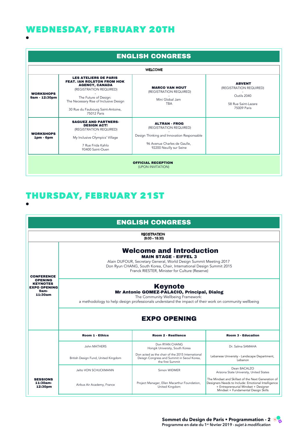## WEDNESDAY, FEBRUARY 20TH

|                                   |                                                                                                                                                                                                                                              | <b>ENGLISH CONGRESS</b>                                                                                                                                  |                                                                                               |
|-----------------------------------|----------------------------------------------------------------------------------------------------------------------------------------------------------------------------------------------------------------------------------------------|----------------------------------------------------------------------------------------------------------------------------------------------------------|-----------------------------------------------------------------------------------------------|
|                                   |                                                                                                                                                                                                                                              | <b>WELCOME</b>                                                                                                                                           |                                                                                               |
| <b>WORKSHOPS</b><br>9am - 12:30pm | <b>LES ATELIERS DE PARIS</b><br><b>FEAT. IAN ROLSTON FROM HOK</b><br><b>AGENCY, CANADA</b><br>(REGISTRATION REQUIRED)<br>The Future of Design:<br>The Necessary Rise of Inclusive Design<br>30 Rue du Faubourg Saint-Antoine,<br>75012 Paris | <b>MARCO VAN HOUT</b><br>(REGISTRATION REQUIRED)<br>Mini Global Jam<br><b>TBA</b>                                                                        | <b>ABVENT</b><br>(REGISTRATION REQUIRED)<br>Outils 2040<br>58 Rue Saint-Lazare<br>75009 Paris |
| <b>WORKSHOPS</b><br>$1pm$ - 6pm   | <b>SAGUEZ AND PARTNERS-</b><br><b>DESIGN ACT!</b><br>(REGISTRATION REQUIRED)<br>My Inclusive Olympics' Village<br>7 Rue Frida Kahlo<br>93400 Saint-Ouen                                                                                      | <b>ALTRAN - FROG</b><br>(REGISTRATION REQUIRED)<br>Design Thinking and Innovation Responsable<br>96 Avenue Charles de Gaulle,<br>92200 Neuilly sur Seine |                                                                                               |
|                                   |                                                                                                                                                                                                                                              | <b>OFFICIAL RECEPTION</b><br>(UPON INVITATION)                                                                                                           |                                                                                               |

## THURSDAY, FEBRUARY 21ST

Speakers: To what Extend are Principles of Visual

|                                                                             |                                                                                                                                                                                                                                                                | <b>ENGLISH CONGRESS</b>                                                                                            |                                                                                                                                                                                         |  |
|-----------------------------------------------------------------------------|----------------------------------------------------------------------------------------------------------------------------------------------------------------------------------------------------------------------------------------------------------------|--------------------------------------------------------------------------------------------------------------------|-----------------------------------------------------------------------------------------------------------------------------------------------------------------------------------------|--|
|                                                                             |                                                                                                                                                                                                                                                                | <b>REGISTRATION</b><br>$(8:00 - 18:30)$                                                                            |                                                                                                                                                                                         |  |
| <b>CONFERENCE</b>                                                           | <b>Welcome and Introduction</b><br><b>MAIN STAGE - EIFFEL 3</b><br>Alain DUFOUR, Secretary General, World Design Summit Meeting 2017<br>Don Ryun CHANG, South Korea, Chair, International Design Summit 2015<br>Franck RIESTER, Minister for Culture (Reserve) |                                                                                                                    |                                                                                                                                                                                         |  |
| <b>OPENING</b><br><b>KEYNOTES</b><br><b>EXPO OPENING</b><br>9am-<br>11:30am | <b>Keynote</b><br>Mr Antonio GOMEZ-PALACIO, Principal, Dialog<br>The Community Wellbeing Framework:<br>a methodology to help design professionals understand the impact of their work on community wellbeing                                                   |                                                                                                                    |                                                                                                                                                                                         |  |
|                                                                             |                                                                                                                                                                                                                                                                | <b>EXPO OPENING</b>                                                                                                |                                                                                                                                                                                         |  |
|                                                                             | <b>Room 1 - Ethics</b>                                                                                                                                                                                                                                         | <b>Room 2 - Resilience</b>                                                                                         | <b>Room 3 - Education</b>                                                                                                                                                               |  |
|                                                                             | John MATHERS                                                                                                                                                                                                                                                   | Don RYAN CHANG<br>Hongik University, South Korea                                                                   | Dr. Salma SAMAHA                                                                                                                                                                        |  |
|                                                                             | British Design Fund, United Kingdom                                                                                                                                                                                                                            | Don acted as the chair of the 2015 International<br>Deisgn Congress and Summit in Seoul Korea,<br>the first Summit | Lebanese University - Landscape Department,<br>Lebanon                                                                                                                                  |  |
|                                                                             | Jelto VON SCHUCKMANN                                                                                                                                                                                                                                           | Simon WIDMER                                                                                                       | Dean BACALZO<br>Arizona State University, United States                                                                                                                                 |  |
| <b>SESSIONS</b><br>11:30am-<br>12:30pm                                      | Airbus Air Academy, France                                                                                                                                                                                                                                     | Project Manager, Ellen Macarthur Foundation,<br>United Kingdom                                                     | The Mindset and Skillset of the Next Generation of<br>Designers Needs to Include: Emotional Intelligence<br>+ Entrepreneurial Mindset + Designer<br>Mindset + Fundamental Design Skills |  |

Transformation of the Museum - Social Spaces of

 $\mathcal{L}_{\mathcal{A}}$  and  $\mathcal{L}_{\mathcal{A}}$  and  $\mathcal{L}_{\mathcal{A}}$  and  $\mathcal{L}_{\mathcal{A}}$  and  $\mathcal{L}_{\mathcal{A}}$  and  $\mathcal{L}_{\mathcal{A}}$  and  $\mathcal{L}_{\mathcal{A}}$  and  $\mathcal{L}_{\mathcal{A}}$  and  $\mathcal{L}_{\mathcal{A}}$  and  $\mathcal{L}_{\mathcal{A}}$  and  $\mathcal{L}_{\mathcal{A}}$  and  $\mathcal{L}_{\mathcal{A$ 

**Sommet du Design de Paris • Programmation - 2** Programme en date du 1er février 2019 - *sujet à modification* Sommet du Design de Paris • Programmation -<br>Roommet du Design de Paris • Programmation -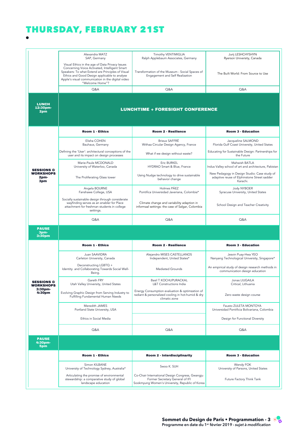## THURSDAY, FEBRUARY 21ST

|                                           | Alexandra MATZ<br>SAP, Germany                                                                                                                                                                                                                                                | Timothy VENTIMIGLIA<br>Ralph Applebaum Associates, Germany                                                           | Jurij LESHCHYSHYN<br>Ryerson University, Canada                                                         |
|-------------------------------------------|-------------------------------------------------------------------------------------------------------------------------------------------------------------------------------------------------------------------------------------------------------------------------------|----------------------------------------------------------------------------------------------------------------------|---------------------------------------------------------------------------------------------------------|
|                                           | Visual Ethics in the age of Data Privacy Issues<br>Concerning Voice Activated, Intelligent Smart<br>Speakers: To what Extend are Principles of Visual<br>Ethics and Good Design applicable to analyse<br>Apple's visual communication in the digital video<br>"Welcome Home"? | Transformation of the Museum - Social Spaces of<br>Engagement and Self Realization                                   | The Built World: From Source to Use                                                                     |
|                                           | Q&A                                                                                                                                                                                                                                                                           | Q&A                                                                                                                  | Q&A                                                                                                     |
| <b>LUNCH</b><br>12:30pm-<br>2pm           |                                                                                                                                                                                                                                                                               | <b>LUNCHTIME + FORESIGHT CONFERENCE</b>                                                                              |                                                                                                         |
|                                           | <b>Room 1 - Ethics</b>                                                                                                                                                                                                                                                        | Room 2 - Resilience                                                                                                  | <b>Room 3 - Education</b>                                                                               |
|                                           | Elisha COHEN<br>Bauhaus, Germany                                                                                                                                                                                                                                              | <b>Brieux SAFFRÉ</b><br>Withaa Circular Design Agency, France                                                        | Jacqueline SALMOND<br>Florida Gulf Coast University, United States                                      |
|                                           | Defining the 'User': architectural conceptions of the<br>user and its impact on design processes                                                                                                                                                                              | What if we design without waste?                                                                                     | Educating for Sustainable Design: Partnerships for<br>the Future                                        |
| <b>SESSIONS &amp;</b>                     | Marie-Paule MCDONALD<br>University of Waterloo, Canada                                                                                                                                                                                                                        | Eric BURKEL<br>HYDRAO Smart & Blue, France                                                                           | Mahwish BATLA<br>Indus Valley school of art and architecture, Pakistan                                  |
| <b>WORKSHOPS</b><br>2pm-<br>3pm           | The Proliferating Glass tower                                                                                                                                                                                                                                                 | Using Nudge technology to drive sustainable<br>behavior change                                                       | New Pedagogy in Design Studio: Case study of<br>adaptive reuse of Elphinstone Street sadder<br>Karachi. |
|                                           | Angela BOURNE<br>Fanshawe College, USA                                                                                                                                                                                                                                        | Holmes PÁFZ<br>Pontifica Universidad Javeriana, Colombia*                                                            | Jody NYBOER<br>Syracuse University, United States                                                       |
|                                           | Socially sustainable design through considerate<br>wayfinding serves as an enabler for Place<br>attachment for freshman students in college<br>settings.                                                                                                                      | Climate change and variability adaption in<br>informaal settings: the case of Salgar, Colombia                       | School Design and Teacher Creativity                                                                    |
|                                           | Q&A                                                                                                                                                                                                                                                                           | Q&A                                                                                                                  | Q&A                                                                                                     |
|                                           |                                                                                                                                                                                                                                                                               |                                                                                                                      |                                                                                                         |
| <b>PAUSE</b><br>3pm-<br>3:30pm            |                                                                                                                                                                                                                                                                               |                                                                                                                      |                                                                                                         |
|                                           | <b>Room 1 - Ethics</b>                                                                                                                                                                                                                                                        | Room 2 - Resilience                                                                                                  | <b>Room 3 - Education</b>                                                                               |
|                                           | Juan SAAVIDRA<br>Carleton University, Canada                                                                                                                                                                                                                                  | Alejandro MISES CASTELLANOS<br>Independent, United States*                                                           | Jesvin Puay-Hwa YEO<br>Nanyang Technological University, Singapore*                                     |
|                                           | Deconstructing LGBTQ +<br>Identity and Collaborating Towards Social Well-<br>Being.                                                                                                                                                                                           | Mediated Grounds                                                                                                     | An empirical study of design research methods in<br>communication design education                      |
| <b>SESSIONS &amp;</b><br><b>WORKSHOPS</b> | Gareth FRY<br>Utah Valley University, United States                                                                                                                                                                                                                           | <b>Basil T KOCHUPURACKAL</b><br>L&T Constructions India                                                              | Jonas LIUGAILA<br>Critical, Lithuania                                                                   |
| 3:30pm-<br>4:30pm                         | Evolving Graphic Design from Serving Industry to<br>Fulfilling Fundamental Human Needs                                                                                                                                                                                        | Energy Consumption evaluation & optimzation of<br>radiant & personalized cooling in hot-humid & dry<br>climatic zone | Zero waste design course                                                                                |
|                                           | Meredith JAMES<br>Portland State University, USA                                                                                                                                                                                                                              |                                                                                                                      | Fausto ZULETA MONTOYA<br>Universidad Pontificia Bolivariana, Colombia                                   |
|                                           | Ethics in Social Media                                                                                                                                                                                                                                                        |                                                                                                                      | Design for Functional Diversity                                                                         |
|                                           | Q&A                                                                                                                                                                                                                                                                           | Q&A                                                                                                                  | Q&A                                                                                                     |
| <b>PAUSE</b><br>4:30pm-<br>5pm            |                                                                                                                                                                                                                                                                               |                                                                                                                      |                                                                                                         |
|                                           | <b>Room 1 - Ethics</b>                                                                                                                                                                                                                                                        | Room 2 - Interdisciplinarity                                                                                         | <b>Room 3 - Education</b>                                                                               |
|                                           | Simon KILBANE<br>University of Technology Sydney, Australia*                                                                                                                                                                                                                  | Swoo K. SUH                                                                                                          | Wendy FOK<br>University of Parsons, United States                                                       |

Sandra REICIS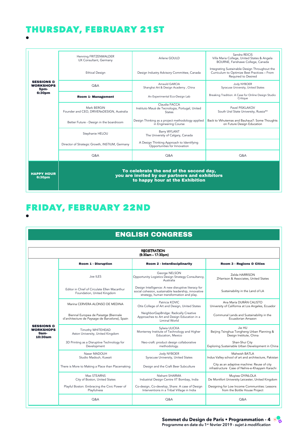#### THURSDAY, FEBRUARY 21ST 4:30pm-5pm

|                                                   | Henning FRITZENWALDER<br>UX Consultant, Germany          | Arlene GOULD                                                                                                                 | Sandra REICIS<br>Villa Maria College, United States & Angela<br>BOURNE, Fanshawe College, Canada                     |
|---------------------------------------------------|----------------------------------------------------------|------------------------------------------------------------------------------------------------------------------------------|----------------------------------------------------------------------------------------------------------------------|
|                                                   | <b>Ethical Design</b>                                    | Design Industry Advisory Committee, Canada                                                                                   | Integrating Sustainable Design Throughout the<br>Curriculum to Optimize Best Practices - From<br>Required to Desired |
| <b>SESSIONS &amp;</b><br><b>WORKSHOPS</b><br>5pm- | <b>O&amp;A</b>                                           | Arnauld GARCIA<br>Shanghai Art & Design Academy, China                                                                       | Jody NYBOER<br>Syracuse University, United States                                                                    |
| 6:30pm                                            | <b>Room 1- Management</b>                                | An Experimental Eco-Design Lab                                                                                               | Breaking Tradition: A Case for Online Design Studio<br>Critique                                                      |
|                                                   | Mark BERGIN<br>Founder and CEO, DRIVENxDESIGN, Australia | Claudia FACCA<br>Instituto Mauá de Tecnologia, Portugal, United<br><b>States</b>                                             | Pavel PISKLAKOV<br>South Ural State University, Russia**                                                             |
|                                                   | Better Future - Design in the boardroom                  | Design Thinking as a project methodology applied<br>in Engineering Course                                                    | Back to Vkhutemas and Bauhaus?: Some Thoughts<br>on Future Design Education                                          |
|                                                   | Stephanie HELOU                                          | Barry WYLANT<br>The University of Calgary, Canada                                                                            |                                                                                                                      |
|                                                   | Director of Strategic Growth, INSTIUM, Germany           | A Design Thinking Approach to Identifying<br>Opportunities for Innovation                                                    |                                                                                                                      |
|                                                   | Q&A                                                      | Q&A                                                                                                                          | Q&A                                                                                                                  |
| <b>HAPPY HOUR</b><br>6:30pm                       |                                                          | To celebrate the end of the second day,<br>you are invited by our partners and exhibitors<br>to happy hour at the Exhibition |                                                                                                                      |

you are invited by our partners and exhibitors are invited by our partners and exhibitors and exhibitors are i<br>The contract of the contract of the contract of the contract of the contract of the contract of the contract o

#### FRIDAY, FEBRUARY 22nd FRIDAY, FEBRUARY 22ND

PAUSE PRODUCE

|                                                              |                                                                                         | <b>ENGLISH CONGRESS</b>                                                                                                                               |                                                                                              |
|--------------------------------------------------------------|-----------------------------------------------------------------------------------------|-------------------------------------------------------------------------------------------------------------------------------------------------------|----------------------------------------------------------------------------------------------|
|                                                              |                                                                                         | <b>REGISTRATION</b><br>(8:30am - 17:30pm)                                                                                                             |                                                                                              |
|                                                              | Room 1 - Disruption                                                                     | Room 2 - Interdisciplinarity                                                                                                                          | <b>Room 3 - Regions &amp; Cities</b>                                                         |
|                                                              | Joe ILES                                                                                | George NELSON<br>Opportunity Logistics Design Strategy Consultancy,<br>Australia                                                                      | Zelda HARRISON<br>ZHarrison & Associates, United States                                      |
|                                                              | Editor in Chief of Circulate Ellen Macarthur<br>Foundation, United Kingdom              | Design Intelligence: A new disruptive literacy for<br>social cohesion, sustainable leadership, innovative<br>strategy, human transformation and play. | Sustainability in the Land of LA                                                             |
|                                                              | Marina CERVERA ALONSO DE MEDINA                                                         | Patricia KOVIC.<br>Otis College of Art and Design, United States                                                                                      | Ana María DURÁN CALISTO<br>University of California at Los Angeles, Ecuador                  |
|                                                              | Biennal Europea de Paisatge (Biennale<br>d'architecture de Paysage de Barcelone), Spain | NeighborGapBridge: Radically Creative<br>Approaches to Art and Design Education in a<br>Liminal World                                                 | Communal Lands and Sustainability in the<br>Ecuadorian Amazon                                |
| <b>SESSIONS &amp;</b><br><b>WORKSHOPS</b><br>9am-<br>10:30am | Timothy WHITEHEAD<br>Aston University, United Kingdom                                   | Svlwia ULICKA<br>Monterrey Institute of Technology and Higher<br>Education, Mexico                                                                    | Jie HU<br>Beijing Tsinghua Tongheng Urban Planning &<br>Design Institute, China              |
|                                                              | 3D Printing as a Disruptive Technology for<br>Development                               | Neo-craft: product design collaborative<br>methodology.                                                                                               | Shan-Shui City<br>Exploring Sustainable Urban Development in China                           |
|                                                              | Naser MADOUH<br>Studio Madouh, Kuwait                                                   | Jody NYBOER<br>Syracuse University, United States                                                                                                     | Mahwish BATLA<br>Indus Valley school of art and architecture, Pakistan                       |
|                                                              | There is More to Making a Place than Placemaking                                        | Design and the Craft Beer Subculture                                                                                                                  | City as an adaptive machine: Reuse of city<br>infrastructure Case of Nehre-e-Khayyam Karachi |
|                                                              | Max STEARNS<br>City of Boston, United States                                            | Nishant SHARMA<br>Industrial Design Centre IIT Bombay, India                                                                                          | Muyiwa OYINLOLA<br>De Montfort University Leicester, United Kingdom                          |
|                                                              | Playful Boston: Embracing the Civic Power of<br>Playfulness                             | Co-design, Co-develop, Share: A case of Design<br>Interventions in a Tribal Village in India                                                          | Designing for Low Income Communities: Lessons<br>from the Bottle House Project               |
|                                                              | O&A                                                                                     | O&A                                                                                                                                                   | O&A                                                                                          |

Room 1 - Disruption Room 2 - Interdisciplinarity Room 3 - Regions & Cities

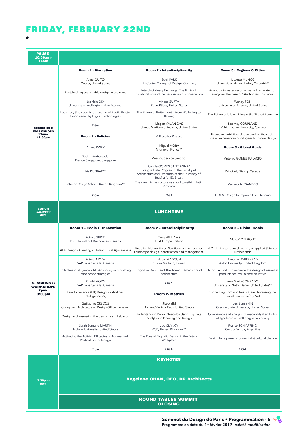#### FRIDAY, FEBRUARY 22ND Playful Boston: Embracing the Civic Power of Co-design, Co-develop, Share: A case of Design

| <b>PAUSE</b><br>10:30am-<br>11am          |                                                                                                  |                                                                                                                                                |                                                                                                   |
|-------------------------------------------|--------------------------------------------------------------------------------------------------|------------------------------------------------------------------------------------------------------------------------------------------------|---------------------------------------------------------------------------------------------------|
|                                           | Room 1 - Disruption                                                                              | Room 2 - Interdisciplinarity                                                                                                                   | <b>Room 3 - Regions &amp; Cities</b>                                                              |
|                                           | Anne QUITO<br>Quartz, United States                                                              | Eunji PARK<br>ArtCenter College of Design, Germany                                                                                             | Lissette MUÑOZ<br>Universidad de los Andes, Colombia*                                             |
|                                           | Factchecking sustainable design in the news                                                      | Interdisciplinary Exchange: The limits of<br>collaboration and the necessities of conversation                                                 | Adaption to water security, watta fi wi, water for<br>everyone, the case of SAn Andrés Colombia   |
|                                           | Jeonbin OK*<br>University of Wellington, New Zealand                                             | Vineet GUPTA<br>RoundGlass, United States                                                                                                      | Wendy FOK<br>University of Parsons, United States                                                 |
|                                           | Localized, Site-specific Up-cycling of Plastic Waste<br><b>Empowered by Digital Technologies</b> | The Future of Betterment - From Wellbeing to<br>Thriving                                                                                       | The Future of Urban Living in the Shared Economy                                                  |
| <b>SESSIONS &amp;</b><br><b>WORKSHOPS</b> | Q&A                                                                                              | Megan VALANIDAS<br>James Madison University, United States                                                                                     | Kearney COUPLAND<br>Wilfrid Laurier University, Canada                                            |
| 11am-<br>12:30pm                          | <b>Room 1 - Policies</b>                                                                         | A Place for Plastics                                                                                                                           | Everyday mobilities: Understanding the socio-<br>spatial experiences of refugees to inform design |
|                                           | Agnes KWEK                                                                                       | Miguel MORA<br>Migmora, France**                                                                                                               | <b>Room 3 - Global Goals</b>                                                                      |
|                                           | Design Ambassador<br>Design Singapore, Singapore                                                 | Meeting Service Sandbox                                                                                                                        | Antonio GOMEZ-PALACIO                                                                             |
|                                           | Iris DUNBAR**                                                                                    | Camila GOMES SANT ANNA*<br>Postgraduate Program of the Faculty of<br>Architecture and Urbanism of the University of<br>Brasília (UnB), Brazil. | Principal, Dialog, Canada                                                                         |
|                                           | Interior Design School, United Kingdom**                                                         | The green infrastructure as a tool to rethink Latin<br>America                                                                                 | Mariano ALESANDRO                                                                                 |
|                                           | Q&A                                                                                              | Q&A                                                                                                                                            | INDEX: Design to Improve Life, Denmark                                                            |
| <b>LUNCH</b><br>12:30pm-<br>2pm           |                                                                                                  | <b>LUNCHTIME</b>                                                                                                                               |                                                                                                   |
|                                           | <b>Room 1 - Tools &amp; Innovation</b>                                                           | Room 2 - Interdisciplinarity                                                                                                                   | <b>Room 3 - Global Goals</b>                                                                      |
|                                           | Robert GIUSTI<br>Institute without Boundaries, Canada                                            | Tony WILLIAMS<br>IFLA Europe, Ireland                                                                                                          | Marco VAN HOUT                                                                                    |
|                                           | Al + Design - Creating a State of Total A[i]wareness                                             | Enabling Nature Based Solutions as the basis for<br>Landscape design, construction and management.                                             | HVA.nl - Amsterdam University of applied Science,<br>Netherlands                                  |
|                                           | Ruturaj MODY<br>SAP Labs Canada, Canada                                                          | Naser MADOUH<br>Studio Madouh, Kuwait                                                                                                          | Timothy WHITEHEAD<br>Aston University, United Kingdom                                             |
|                                           | Collective intelligence - AI : An inquiry into building<br>experience strategies                 | Cognitive Deficit and The Absent Dimensions of<br>Architecture                                                                                 | D-Tool: A toolkit to enhance the design of essential<br>products for low income countries         |
| <b>SESSIONS &amp;</b><br><b>WORKSHOPS</b> | Riddhi MODY<br>SAP Labs Canada, Canada                                                           | Q&A                                                                                                                                            | Ann-Marie CONRADO<br>University of Notre Dame, United States**                                    |
| 2pm-<br>3:30pm                            | User Experience (UX) Design for Artificial<br>Intelligence (AI)                                  | <b>Room 2- Metrics</b>                                                                                                                         | Connecting Communities of Care: Accessing the<br>Social Service Safety Net                        |
|                                           | Guillaume CREDOZ<br>Ghouyoum Architect and Design Office, Lebanon                                | Jisoo SIM<br>Airtime/Virginia Tech, United States                                                                                              | Jun Bum SHIN<br>Oregon State University, United States                                            |
|                                           | Design and answering the trash crisis in Lebanon                                                 | Understanding Public Needs by Using Big Data<br>Analytics in Planning and Design                                                               | Comparison and analysis of readability (Legibility)<br>of typefaces on traffic signs by country   |
|                                           | Sarah Edmand MARTIN<br>Indiana University, United States                                         | Joe CLANCY<br>WSP, United Kingdom **                                                                                                           | Franco SCHIAFFINO<br>Centro Pampa, Argentina                                                      |
|                                           | Activating the Activist: Efficacies of Augmented<br>Political Poster Design                      | The Role of Biophilic Design in the Future<br>Workplace                                                                                        | Design for a pro-environmentalist cultural change                                                 |
|                                           | Q&A                                                                                              | Q&A                                                                                                                                            | Q&A                                                                                               |
|                                           |                                                                                                  | <b>KEYNOTES</b>                                                                                                                                |                                                                                                   |
| 3:30pm-<br>6pm                            |                                                                                                  | <b>Angelene CHAN, CEO, DP Architects</b>                                                                                                       |                                                                                                   |
|                                           |                                                                                                  | <b>ROUND TABLES SUMMIT</b><br><b>CLOSING</b>                                                                                                   |                                                                                                   |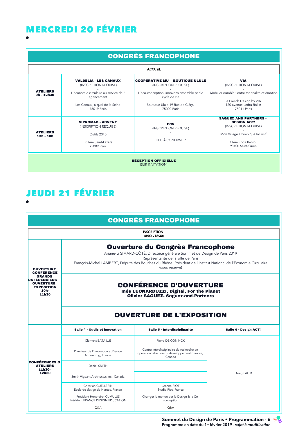#### MERCREDI 20 FÉVRIER  $\blacksquare$

|                                |                                                                                                        | <b>CONGRÈS FRANCOPHONE</b>                                                                                   |                                                                                                                                                         |
|--------------------------------|--------------------------------------------------------------------------------------------------------|--------------------------------------------------------------------------------------------------------------|---------------------------------------------------------------------------------------------------------------------------------------------------------|
|                                |                                                                                                        | <b>ACCUEIL</b>                                                                                               |                                                                                                                                                         |
|                                | <b>VALDELIA - LES CANAUX</b><br>(INSCRIPTION REQUISE)                                                  | <b>COOPÉRATIVE MU + BOUTIQUE ULULE</b><br>(INSCRIPTION REQUISE)                                              | <b>VIA</b><br>(INSCRIPTION REQUISE)                                                                                                                     |
| <b>ATELIERS</b><br>9h - 12h30  | L'économie circulaire au service de l'<br>agencement<br>Les Canaux, 6 quai de la Seine<br>75019 Paris  | L'éco-conception, innovons ensemble par le<br>cycle de vie<br>Boutique Ulule 19 Rue de Cléry,<br>75002 Paris | Mobilier durable : entre rationalité et émotion<br>le French Design by VIA<br>120 avenue Ledru Rollin<br>75011 Paris                                    |
| <b>ATELIERS</b><br>$13h - 18h$ | <b>SIPROMAD - ABVENT</b><br>(INSCRIPTION REQUISE)<br>Outils 2040<br>58 Rue Saint-Lazare<br>75009 Paris | <b>ECV</b><br>(INSCRIPTION REQUISE)<br>LIEU À CONFIRMER                                                      | <b>SAGUEZ AND PARTNERS -</b><br><b>DESIGN ACT!</b><br>(INSCRIPTION REQUISE)<br>Mon Village Olympique Inclusif<br>7 Rue Frida Kahlo,<br>93400 Saint-Ouen |
|                                |                                                                                                        | <b>RÉCEPTION OFFICIELLE</b><br>(SUR INVITATION)                                                              |                                                                                                                                                         |

# JEUDI 21 FÉVRIER

12h30-

|                                                                                                                                         |                                                                                                                                                                                                                                                                                                 | <b>CONGRÈS FRANCOPHONE</b>                                                                           |                       |
|-----------------------------------------------------------------------------------------------------------------------------------------|-------------------------------------------------------------------------------------------------------------------------------------------------------------------------------------------------------------------------------------------------------------------------------------------------|------------------------------------------------------------------------------------------------------|-----------------------|
|                                                                                                                                         |                                                                                                                                                                                                                                                                                                 | <b>INSCRIPTION</b><br>$(8:00 - 18:30)$                                                               |                       |
| <b>OUVERTURE</b><br><b>CONFÉRENCE</b><br><b>GRANDS</b><br><b>ONFÉRENCIERS</b><br><b>OUVERTURE</b><br><b>EXPOSITION</b><br>10h-<br>11h30 | <b>Ouverture du Congrès Francophone</b><br>Ariane-Li SIMARD-CÔTÉ, Directrice générale Sommet de Design de Paris 2019<br>Représentante de la ville de Paris<br>François-Michel LAMBERT, Député des Bouches du Rhône, Président de l'Institut National de l'Economie Circulaire<br>(sous réserve) |                                                                                                      |                       |
|                                                                                                                                         | <b>CONFÉRENCE D'OUVERTURE</b><br>Inés LEONARDUZZI, Digital, For the Planet<br><b>Olivier SAGUEZ, Saguez-and-Partners</b>                                                                                                                                                                        |                                                                                                      |                       |
|                                                                                                                                         | Salle 4 - Outils et innovation                                                                                                                                                                                                                                                                  | <b>OUVERTURE DE L'EXPOSITION</b><br>Salle 5 - Interdisciplinarite                                    | Salle 6 - Design ACT! |
|                                                                                                                                         | Clément BATAILLE                                                                                                                                                                                                                                                                                | Pierre DE CONINCK                                                                                    |                       |
|                                                                                                                                         | Directeur de l'Innovation et Design<br>Altran-Frog, France                                                                                                                                                                                                                                      | Centre interdisciplinaire de recherche en<br>opérationnalisation du développement durable,<br>Canada |                       |
| <b>CONFÉRENCES &amp;</b><br><b>ATELIERS</b><br>11h30-                                                                                   | Daniel SMITH                                                                                                                                                                                                                                                                                    |                                                                                                      |                       |
| 12h30                                                                                                                                   | Smith Vigeant Architectes Inc., Canada                                                                                                                                                                                                                                                          |                                                                                                      | Design ACT!           |
|                                                                                                                                         | Christian GUELLERIN<br>École de design de Nantes, France                                                                                                                                                                                                                                        | Jeanne RIOT<br>Studio Riot, France                                                                   |                       |
|                                                                                                                                         | Président Honoraire, CUMULUS<br>Président FRANCE DESIGN EDUCATION                                                                                                                                                                                                                               | Changer le monde par le Design & la Co-<br>conception                                                |                       |
|                                                                                                                                         | Q&A                                                                                                                                                                                                                                                                                             | Q&A                                                                                                  |                       |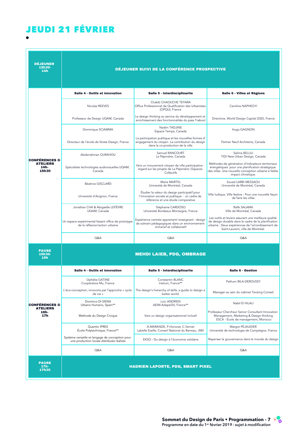## JEUDI 21 FÉVRIER

| <b><i>DÉJEUNER</i></b><br>12h30-<br>14h     |                                                                                              | DÉJEUNER SUIVI DE LA CONFÉRENCE PROSPECTIVE                                                                                                   |                                                                                                                                                                                                       |
|---------------------------------------------|----------------------------------------------------------------------------------------------|-----------------------------------------------------------------------------------------------------------------------------------------------|-------------------------------------------------------------------------------------------------------------------------------------------------------------------------------------------------------|
|                                             | Salle 4 - Outils et innovation                                                               | Salle 5 - Interdisciplinarite                                                                                                                 | Salle 6 - Villes et Régions                                                                                                                                                                           |
|                                             | Nicolas REEVES                                                                               | Chakib CHAOUCHE TEYARA<br>Office Professionnel de Qualification des Urbanistes<br>(OPQU), France                                              | Caroline NAPHEGYI                                                                                                                                                                                     |
|                                             | Professeur de Design UQAM, Canada                                                            | Le design thinking au service du développement et<br>enrichissement des fonctionnalités du pass Trabool                                       | Directrice, World Design Capital 2020, France                                                                                                                                                         |
|                                             | Dominique SCIAMMA                                                                            | Nadim TADJINE<br>Espace Temps, Canada                                                                                                         | Hugo GAGNON                                                                                                                                                                                           |
|                                             | Directeur de l'école de Strate Design, France                                                | La participation publique et les nouvelles formes d'<br>engagement du citoyen. La contribution du design<br>dans la co-production de la ville | Partner Neuf Architects, Canada                                                                                                                                                                       |
| <b>CONFÉRENCES &amp;</b>                    | Abderrahman OURAHOU                                                                          | Samuel RANCOURT<br>La Pépinière, Canada                                                                                                       | Salima BELLILI<br>TIDI New Urban Design, Canada                                                                                                                                                       |
| <b>ATELIERS</b><br>14h-<br>15h30            | Spécialiste technologies audiovisuelles UQAM,<br>Canada                                      | Vers un mouvement citoyen de ville participative :<br>regard sur les projets de La Pépinière   Espaces<br>Collectifs                          | Méthodes de génération d'indicateurs territoriaux<br>énergétiques pour une planification stratégique<br>des villes. Une nouvelle conception urbaine à faible<br>impact climatique.                    |
|                                             | <b>Béatrice GISCLARD</b>                                                                     | Marie MARTEL<br>Université de Montréal, Canada                                                                                                | Souad LARBI MESSAOU<br>Université de Montréal, Canada                                                                                                                                                 |
|                                             | Université d'Avignon, France                                                                 | Étudier la valeur du design participatif pour<br>l'innovation sociale et publique : un cadre de<br>référence et une étude comparative         | Ville ludique, Ville festive : Pour une nouvelle façon<br>de faire les villes                                                                                                                         |
|                                             | Jonathan CHA & Abigaelle LEFEVRE<br>UQAM, Canada                                             | Stéphanie CARDOSO<br>Université Bordeaux Montaigne, France                                                                                    | Rafik SALAMA<br>Ville de Montréal, Canada                                                                                                                                                             |
|                                             | Un espace expérimental faisant office de prototype<br>de la réflexion/action urbaine         | Expérience centrée apprenant/enseignant : design<br>de scénarii pédagogiques dans un environnement<br>immersif et collaboratif                | Les outils et leviers assurant une meilleure qualité<br>de design durable dans le cadre de la planification<br>urbaine : Deux expériences de l'arrondissement de<br>Saint-Laurent, ville de Montréal. |
|                                             | Q&A                                                                                          | Q&A                                                                                                                                           | Q&A                                                                                                                                                                                                   |
| <b>PAUSE</b><br>15h30-<br>16h               |                                                                                              | <b>MEHDI LAIEB, PDG, OMBRAGE</b>                                                                                                              |                                                                                                                                                                                                       |
|                                             | Salle 4 - Outils et innovation                                                               | Salle 5 - Interdisciplinarite                                                                                                                 | Salle 6 - Gestion                                                                                                                                                                                     |
|                                             | Ophélie GATINE<br>Coopérative Mu, France                                                     | Constantin BLANC<br>Instium, France**                                                                                                         | Pathum BILA-DEROUSSY                                                                                                                                                                                  |
|                                             | L'éco-conception, innovons par l'approche « cycle<br>de vie »                                | The design's hierarchy of skills: a guide to design a<br>better world.                                                                        | Manager au sein du cabinet Tenzing Conseil                                                                                                                                                            |
| <b>CONFÉRENCES &amp;</b><br><b>ATELIERS</b> | Dominco DI SIENA<br>Urbano Humano, Spain**                                                   | Loic ANDRIEN<br>AEIM-Adapei54, France**                                                                                                       | Nabil El HILALI                                                                                                                                                                                       |
| 16h-<br>17 <sub>h</sub>                     | Methode du Design Civique                                                                    | Vers un design organisationnel inclusif                                                                                                       | Professeur Chercheur Senior Consultant Innovation<br>Management, Marketing & Design thinking<br>ESCA - École de management, Morocco                                                                   |
|                                             | Quentin IPREX<br>École Polytechnique, France**                                               | A.MARANDE, P.Honorat, C.Vernet<br>Labelle Exelle, Conseil National du Barreau, JMV                                                            | Margot PÉJAUDIER<br>Université de technologie de Compiègne, France                                                                                                                                    |
|                                             | Système versatile et langage de conception pour<br>une production locale distribuée réaliste | EKSO - Du design à l'économie solidaire                                                                                                       | Repenser la gouvernance dans le monde du design                                                                                                                                                       |
|                                             | Q&A                                                                                          | Q&A                                                                                                                                           | Q&A                                                                                                                                                                                                   |
| <b>PAUSE</b><br>$17h -$<br>17h30            |                                                                                              | <b>HADRIEN LAPORTE, PDG, SMART PIXEL</b>                                                                                                      |                                                                                                                                                                                                       |

<u>Q&A Q&A Q&A Q&A Q&A Q&A Q&A Q&A Q&A Q</u>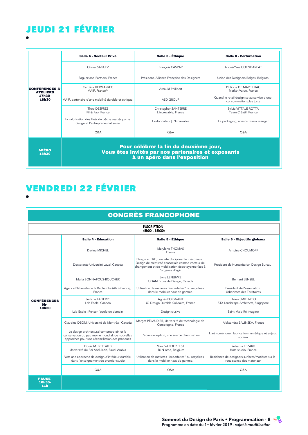### JEUDI 21 FÉVRIER<br>Capacitan IPREX Système versatile et langage de conception pour

|                                             | Salle 4 - Secteur Privé                                                                 | Salle 5 - Éthique                                                                                                            | Salle 6 - Perturbation                                                |
|---------------------------------------------|-----------------------------------------------------------------------------------------|------------------------------------------------------------------------------------------------------------------------------|-----------------------------------------------------------------------|
|                                             | Olivier SAGUFZ                                                                          | François CASPAR                                                                                                              | André-Yves COENDAREAT                                                 |
|                                             | Saquez and Partners, France                                                             | Président, Alliance Française des Designers                                                                                  | Union des Designers Belges, Belgium                                   |
| <b>CONFÉRENCES &amp;</b><br><b>ATELIERS</b> | Caroline KERMARREC<br>MAIF, France**                                                    | Arnauld Philibert                                                                                                            | Philippe DE MAREILHAC<br>Market Value, France                         |
| 17h30-<br>18h30                             | MAIF, partenaire d'une mobilité durable et éthique.                                     | <b>ASD GROUP</b>                                                                                                             | Quand le retail design se au service d'une<br>consommation plus juste |
|                                             | Théo DESPREZ<br>Fil & Fab, France                                                       | Christopher SANTERRE<br>L'increvable, France                                                                                 | Sylvia VITTALE ROTTA<br>Team Créatif, France                          |
|                                             | La valorisation des filets de pêche usagés par le<br>design et l'entrepreneuriat social | Co-fondateur   L'Increvable                                                                                                  | Le packaging, allié du mieux manger                                   |
|                                             | <b>O&amp;A</b>                                                                          | <b>O&amp;A</b>                                                                                                               | <b>O&amp;A</b>                                                        |
| <b>APÉRO</b><br>18h30                       |                                                                                         | Pour célébrer la fin du deuxième jour,<br>Vous êtes invités par nos partenaires et exposants<br>à un apéro dans l'exposition |                                                                       |

Pour célébrer la fin du deuxième jour,

## Constantinophone in the constant of the constantinophone in the constant of the constant of the constant of the constant of the constant of the constant of the constant of the constant of the constant of the constant of th VENDREDI 22 FÉVRIER

|                                           |                                                                                                                                                   | <b>CONGRÈS FRANCOPHONE</b>                                                                                                                                                      |                                                                              |
|-------------------------------------------|---------------------------------------------------------------------------------------------------------------------------------------------------|---------------------------------------------------------------------------------------------------------------------------------------------------------------------------------|------------------------------------------------------------------------------|
|                                           |                                                                                                                                                   | <b>INSCRIPTION</b><br>(8h00 - 18h30)                                                                                                                                            |                                                                              |
|                                           | Salle 4 - Education                                                                                                                               | Salle 5 - Éthique                                                                                                                                                               | Salle 6 - Objectifs globaux                                                  |
|                                           | Davina MICHEL                                                                                                                                     | Marylene THOMAS<br>France                                                                                                                                                       | Antoine CHOUMOFF                                                             |
|                                           | Doctorante Université Laval, Canada                                                                                                               | Design et ERE, une interdisciplinarité méconnue :<br>Design de créativité écosociale comme vecteur de<br>changement et de mobilisation écocitoyenne face à<br>l'urgence d'agir. | Président de Humanitarian Design Bureau                                      |
|                                           | Maria BONNAFOUS-BOUCHER                                                                                                                           | Lyne LEFEBVRE<br>UQAM Ecole de Design, Canada                                                                                                                                   | <b>Bernard LENSEL</b>                                                        |
|                                           | Agence Nationale de la Recherche (ANR-France),<br>France                                                                                          | Utilisation de matières "imparfaites" ou recyclées<br>dans le mobilier haut de gamme.                                                                                           | Président de l'association<br>Urbanistes des Territoires                     |
| <b>CONFÉRENCES</b><br>9h-                 | Jérôme LAPIERRE<br>Lab École, Canada                                                                                                              | Agnès POIGNANT<br>iO Design Durable Solidaire, France                                                                                                                           | Helen SMITH-YFO<br>STX Landscape Architects, Singapore                       |
| 10h30                                     | Lab-École : Penser l'école de demain                                                                                                              | Design' clusive                                                                                                                                                                 | Saint-Malo Ré-imaginé                                                        |
|                                           | Claudine DEOM, Université de Montréal, Canada                                                                                                     | Margot PÉJAUDIER, Université de technologie de<br>Compiègne, France                                                                                                             | Aleksandra BALINSKA, France                                                  |
|                                           | Le design architectural contemporain et la<br>conservation du patrimoine mondial: de nouvelles<br>approches pour une réconciliation des pratiques | L'éco-conception, une source d'innovation                                                                                                                                       | L'art numérique : fabrication numérique et enjeux<br>sociaux                 |
|                                           | Donia M. BETTAIFB<br>Université du Roi Abdulaziz, Saudi Arabia                                                                                    | Marc VANDER ELST<br>Bi-N-ôme, Belgium                                                                                                                                           | Rebecca FFZARD<br>Hors-studio, France                                        |
|                                           | Vers une approche de design d'intérieur durable<br>dans l'enseignement du premier studio                                                          | Utilisation de matières "imparfaites" ou recyclées<br>dans le mobilier haut de gamme.                                                                                           | Résidence de designers surfaces/matières sur la<br>renaissance des matériaux |
|                                           | Q&A                                                                                                                                               | Q&A                                                                                                                                                                             | Q&A                                                                          |
| <b>PAUSE</b><br>10h30-<br>11 <sub>h</sub> |                                                                                                                                                   |                                                                                                                                                                                 |                                                                              |